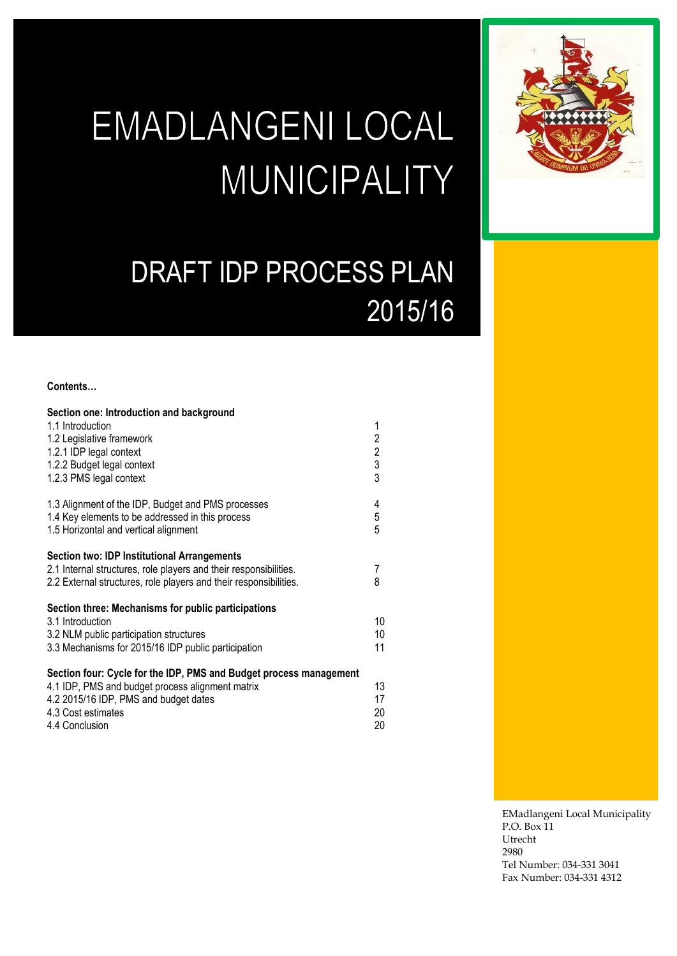# EMADLANGENI LOCAL MUNICIPALITY



## DRAFT IDP PROCESS PLAN 2015/16

#### **Contents…**

| Section one: Introduction and background                           |                                                 |
|--------------------------------------------------------------------|-------------------------------------------------|
| 1.1 Introduction                                                   | 1                                               |
| 1.2 Legislative framework                                          |                                                 |
| 1.2.1 IDP legal context                                            |                                                 |
| 1.2.2 Budget legal context                                         | $\begin{array}{c} 2 \\ 2 \\ 3 \\ 3 \end{array}$ |
| 1.2.3 PMS legal context                                            |                                                 |
| 1.3 Alignment of the IDP, Budget and PMS processes                 | 4                                               |
| 1.4 Key elements to be addressed in this process                   | 5                                               |
| 1.5 Horizontal and vertical alignment                              | 5                                               |
| <b>Section two: IDP Institutional Arrangements</b>                 |                                                 |
| 2.1 Internal structures, role players and their responsibilities.  | 7                                               |
| 2.2 External structures, role players and their responsibilities.  | 8                                               |
| Section three: Mechanisms for public participations                |                                                 |
| 3.1 Introduction                                                   | 10                                              |
| 3.2 NLM public participation structures                            | 10                                              |
| 3.3 Mechanisms for 2015/16 IDP public participation                | 11                                              |
| Section four: Cycle for the IDP, PMS and Budget process management |                                                 |
| 4.1 IDP, PMS and budget process alignment matrix                   | 13                                              |
| 4.2 2015/16 IDP, PMS and budget dates                              | 17                                              |
| 4.3 Cost estimates                                                 | 20                                              |
| 4.4 Conclusion                                                     | 20                                              |

EMadlangeni Local Municipality P.O. Box 11 Utrecht 2980 Tel Number: 034-331 3041 Fax Number: 034-331 4312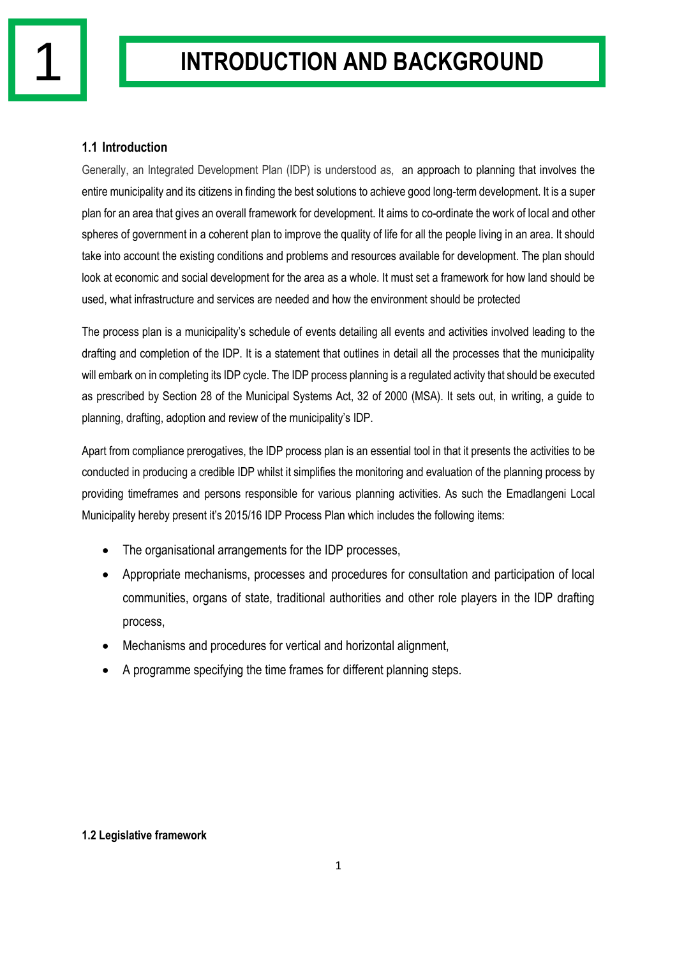#### **1.1 Introduction**

Generally, an Integrated Development Plan (IDP) is understood as, an approach to planning that involves the entire municipality and its citizens in finding the best solutions to achieve good long-term development. It is a super plan for an area that gives an overall framework for development. It aims to co-ordinate the work of local and other spheres of government in a coherent plan to improve the quality of life for all the people living in an area. It should take into account the existing conditions and problems and resources available for development. The plan should look at economic and social development for the area as a whole. It must set a framework for how land should be used, what infrastructure and services are needed and how the environment should be protected

The process plan is a municipality's schedule of events detailing all events and activities involved leading to the drafting and completion of the IDP. It is a statement that outlines in detail all the processes that the municipality will embark on in completing its IDP cycle. The IDP process planning is a regulated activity that should be executed as prescribed by Section 28 of the Municipal Systems Act, 32 of 2000 (MSA). It sets out, in writing, a guide to planning, drafting, adoption and review of the municipality's IDP.

Apart from compliance prerogatives, the IDP process plan is an essential tool in that it presents the activities to be conducted in producing a credible IDP whilst it simplifies the monitoring and evaluation of the planning process by providing timeframes and persons responsible for various planning activities. As such the Emadlangeni Local Municipality hereby present it's 2015/16 IDP Process Plan which includes the following items:

- The organisational arrangements for the IDP processes,
- Appropriate mechanisms, processes and procedures for consultation and participation of local communities, organs of state, traditional authorities and other role players in the IDP drafting process,
- Mechanisms and procedures for vertical and horizontal alignment,
- A programme specifying the time frames for different planning steps.

#### **1.2 Legislative framework**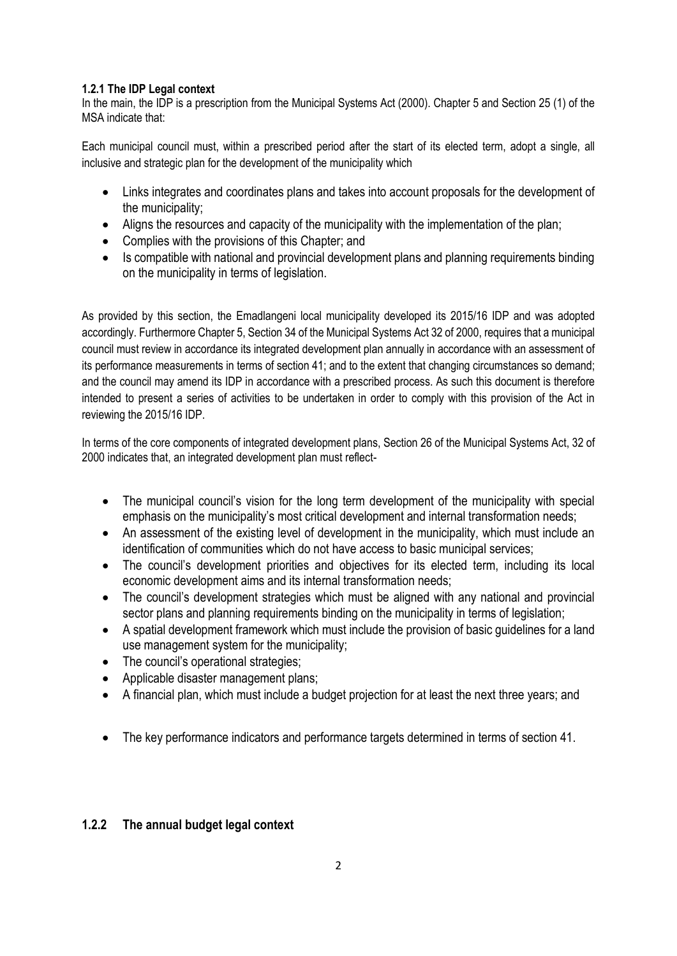#### **1.2.1 The IDP Legal context**

In the main, the IDP is a prescription from the Municipal Systems Act (2000). Chapter 5 and Section 25 (1) of the MSA indicate that:

Each municipal council must, within a prescribed period after the start of its elected term, adopt a single, all inclusive and strategic plan for the development of the municipality which

- Links integrates and coordinates plans and takes into account proposals for the development of the municipality;
- Aligns the resources and capacity of the municipality with the implementation of the plan;
- Complies with the provisions of this Chapter; and
- Is compatible with national and provincial development plans and planning requirements binding on the municipality in terms of legislation.

As provided by this section, the Emadlangeni local municipality developed its 2015/16 IDP and was adopted accordingly. Furthermore Chapter 5, Section 34 of the Municipal Systems Act 32 of 2000, requires that a municipal council must review in accordance its integrated development plan annually in accordance with an assessment of its performance measurements in terms of section 41; and to the extent that changing circumstances so demand; and the council may amend its IDP in accordance with a prescribed process. As such this document is therefore intended to present a series of activities to be undertaken in order to comply with this provision of the Act in reviewing the 2015/16 IDP.

In terms of the core components of integrated development plans, Section 26 of the Municipal Systems Act, 32 of 2000 indicates that, an integrated development plan must reflect-

- The municipal council's vision for the long term development of the municipality with special emphasis on the municipality's most critical development and internal transformation needs;
- An assessment of the existing level of development in the municipality, which must include an identification of communities which do not have access to basic municipal services;
- The council's development priorities and objectives for its elected term, including its local economic development aims and its internal transformation needs;
- The council's development strategies which must be aligned with any national and provincial sector plans and planning requirements binding on the municipality in terms of legislation;
- A spatial development framework which must include the provision of basic guidelines for a land use management system for the municipality;
- The council's operational strategies;
- Applicable disaster management plans;
- A financial plan, which must include a budget projection for at least the next three years; and
- The key performance indicators and performance targets determined in terms of section 41.

#### **1.2.2 The annual budget legal context**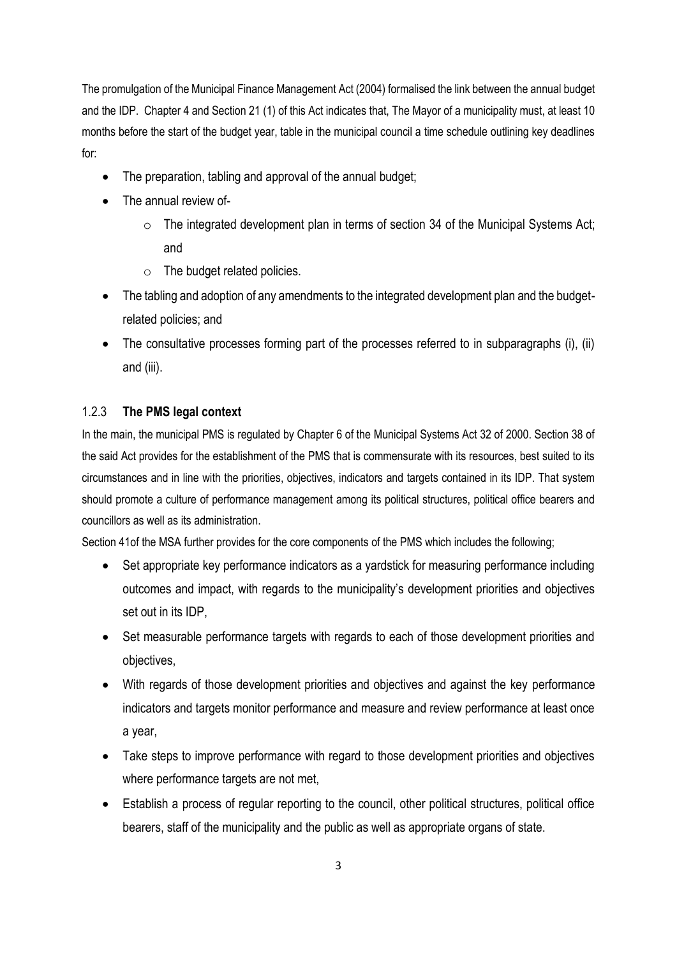The promulgation of the Municipal Finance Management Act (2004) formalised the link between the annual budget and the IDP. Chapter 4 and Section 21 (1) of this Act indicates that, The Mayor of a municipality must, at least 10 months before the start of the budget year, table in the municipal council a time schedule outlining key deadlines for:

- The preparation, tabling and approval of the annual budget;
- The annual review of-
	- $\circ$  The integrated development plan in terms of section 34 of the Municipal Systems Act; and
	- $\circ$  The budget related policies.
- The tabling and adoption of any amendments to the integrated development plan and the budgetrelated policies; and
- The consultative processes forming part of the processes referred to in subparagraphs (i), (ii) and (iii).

#### 1.2.3 **The PMS legal context**

In the main, the municipal PMS is regulated by Chapter 6 of the Municipal Systems Act 32 of 2000. Section 38 of the said Act provides for the establishment of the PMS that is commensurate with its resources, best suited to its circumstances and in line with the priorities, objectives, indicators and targets contained in its IDP. That system should promote a culture of performance management among its political structures, political office bearers and councillors as well as its administration.

Section 41of the MSA further provides for the core components of the PMS which includes the following;

- Set appropriate key performance indicators as a yardstick for measuring performance including outcomes and impact, with regards to the municipality's development priorities and objectives set out in its IDP,
- Set measurable performance targets with regards to each of those development priorities and objectives,
- With regards of those development priorities and objectives and against the key performance indicators and targets monitor performance and measure and review performance at least once a year,
- Take steps to improve performance with regard to those development priorities and objectives where performance targets are not met,
- Establish a process of regular reporting to the council, other political structures, political office bearers, staff of the municipality and the public as well as appropriate organs of state.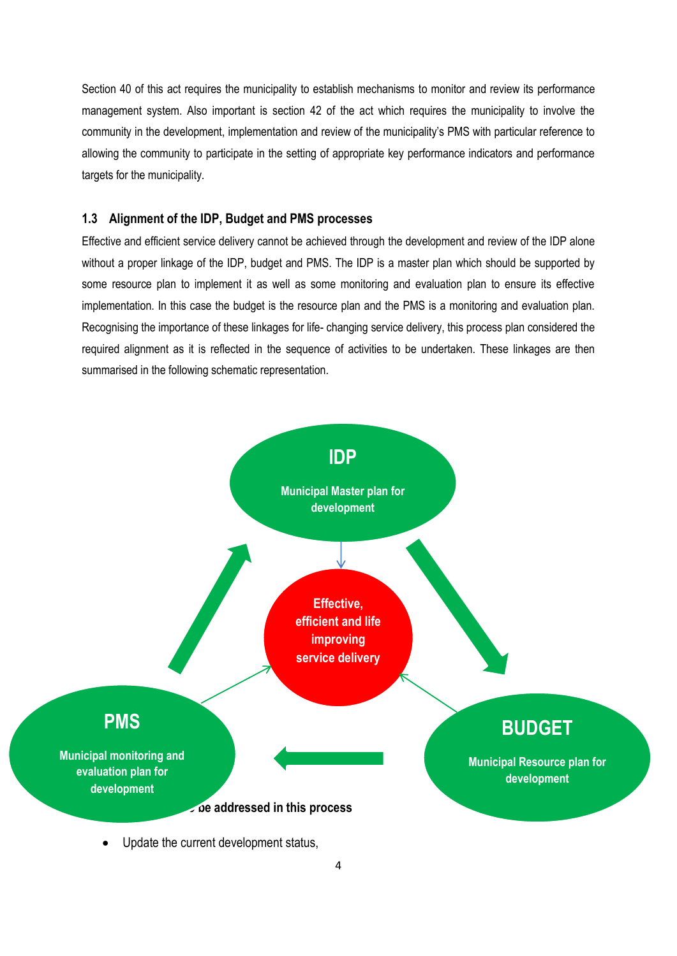Section 40 of this act requires the municipality to establish mechanisms to monitor and review its performance management system. Also important is section 42 of the act which requires the municipality to involve the community in the development, implementation and review of the municipality's PMS with particular reference to allowing the community to participate in the setting of appropriate key performance indicators and performance targets for the municipality.

#### **1.3 Alignment of the IDP, Budget and PMS processes**

Effective and efficient service delivery cannot be achieved through the development and review of the IDP alone without a proper linkage of the IDP, budget and PMS. The IDP is a master plan which should be supported by some resource plan to implement it as well as some monitoring and evaluation plan to ensure its effective implementation. In this case the budget is the resource plan and the PMS is a monitoring and evaluation plan. Recognising the importance of these linkages for life- changing service delivery, this process plan considered the required alignment as it is reflected in the sequence of activities to be undertaken. These linkages are then summarised in the following schematic representation.



Update the current development status,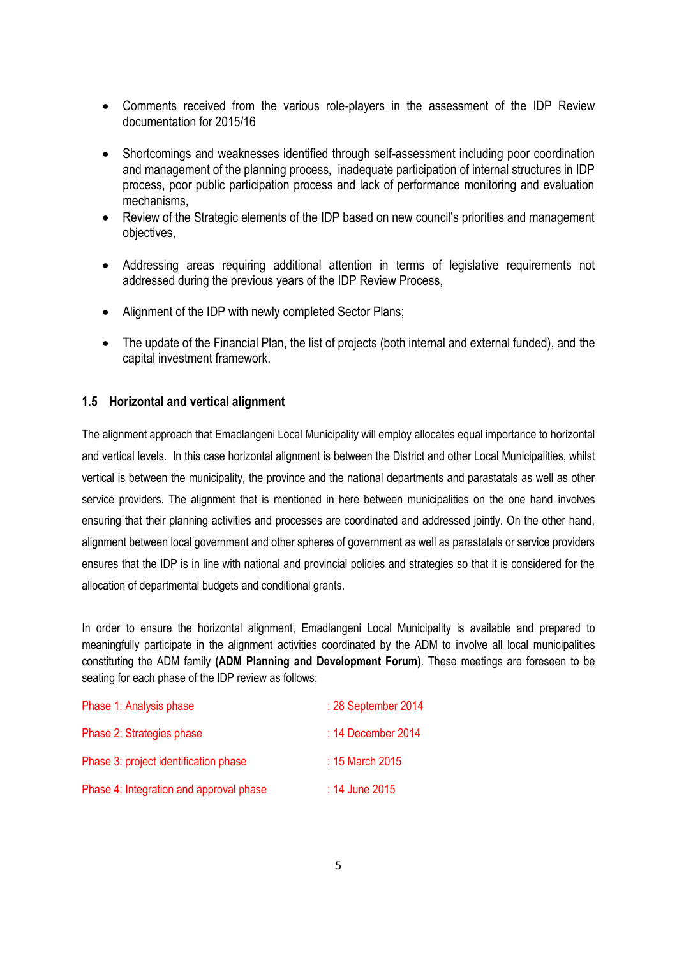- Comments received from the various role-players in the assessment of the IDP Review documentation for 2015/16
- Shortcomings and weaknesses identified through self-assessment including poor coordination and management of the planning process, inadequate participation of internal structures in IDP process, poor public participation process and lack of performance monitoring and evaluation mechanisms,
- Review of the Strategic elements of the IDP based on new council's priorities and management objectives,
- Addressing areas requiring additional attention in terms of legislative requirements not addressed during the previous years of the IDP Review Process,
- Alignment of the IDP with newly completed Sector Plans;
- The update of the Financial Plan, the list of projects (both internal and external funded), and the capital investment framework.

#### **1.5 Horizontal and vertical alignment**

The alignment approach that Emadlangeni Local Municipality will employ allocates equal importance to horizontal and vertical levels. In this case horizontal alignment is between the District and other Local Municipalities, whilst vertical is between the municipality, the province and the national departments and parastatals as well as other service providers. The alignment that is mentioned in here between municipalities on the one hand involves ensuring that their planning activities and processes are coordinated and addressed jointly. On the other hand, alignment between local government and other spheres of government as well as parastatals or service providers ensures that the IDP is in line with national and provincial policies and strategies so that it is considered for the allocation of departmental budgets and conditional grants.

In order to ensure the horizontal alignment, Emadlangeni Local Municipality is available and prepared to meaningfully participate in the alignment activities coordinated by the ADM to involve all local municipalities constituting the ADM family **(ADM Planning and Development Forum)**. These meetings are foreseen to be seating for each phase of the IDP review as follows;

| Phase 1: Analysis phase                 | : 28 September 2014 |
|-----------------------------------------|---------------------|
| Phase 2: Strategies phase               | : 14 December 2014  |
| Phase 3: project identification phase   | : 15 March 2015     |
| Phase 4: Integration and approval phase | : 14 June 2015      |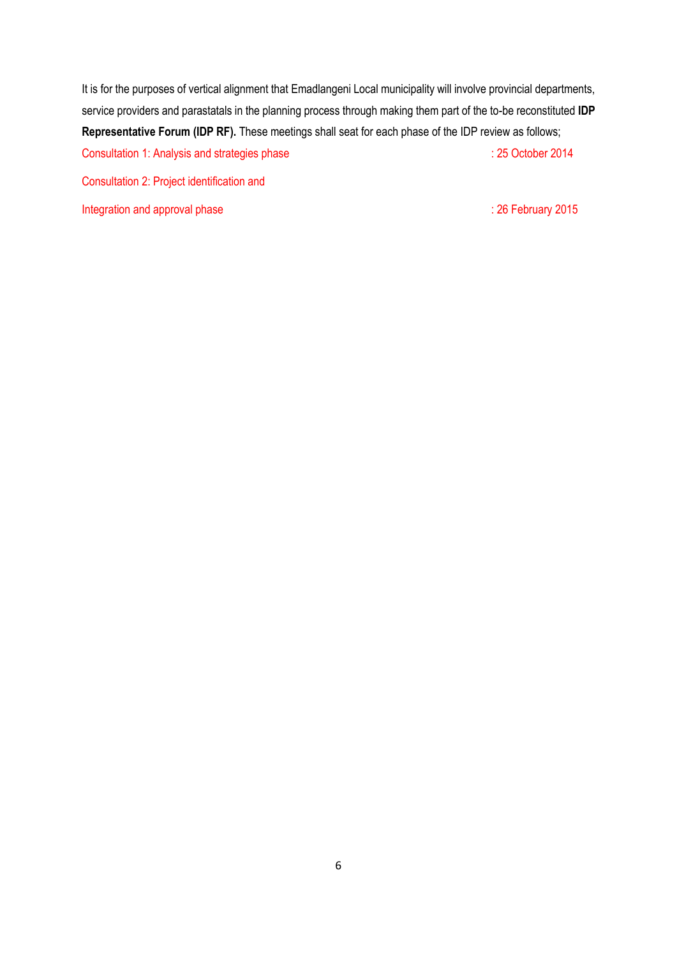It is for the purposes of vertical alignment that Emadlangeni Local municipality will involve provincial departments, service providers and parastatals in the planning process through making them part of the to-be reconstituted **IDP Representative Forum (IDP RF).** These meetings shall seat for each phase of the IDP review as follows; Consultation 1: Analysis and strategies phase  $\cdot$  25 October 2014 Consultation 2: Project identification and

Integration and approval phase integration and approval phase integration and approval phase integration of  $\sim$  26 February 2015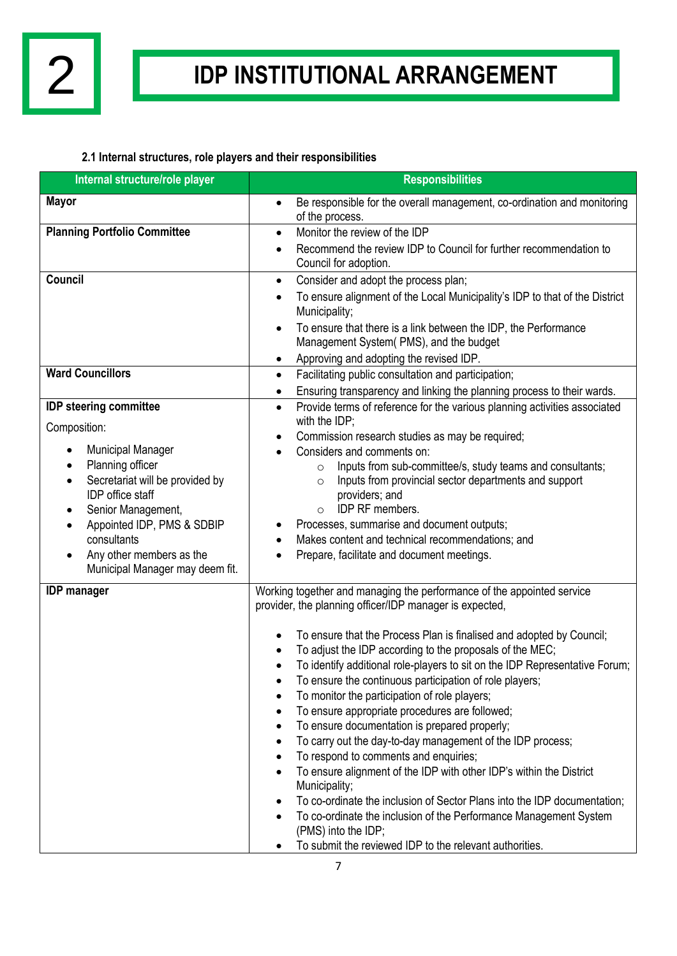

#### **2.1 Internal structures, role players and their responsibilities**

| Internal structure/role player                             | <b>Responsibilities</b>                                                                                    |  |  |
|------------------------------------------------------------|------------------------------------------------------------------------------------------------------------|--|--|
| <b>Mayor</b>                                               | Be responsible for the overall management, co-ordination and monitoring<br>$\bullet$<br>of the process.    |  |  |
| <b>Planning Portfolio Committee</b>                        | Monitor the review of the IDP<br>$\bullet$                                                                 |  |  |
|                                                            | Recommend the review IDP to Council for further recommendation to<br>$\bullet$                             |  |  |
|                                                            | Council for adoption.                                                                                      |  |  |
| <b>Council</b>                                             | Consider and adopt the process plan;<br>٠                                                                  |  |  |
|                                                            | To ensure alignment of the Local Municipality's IDP to that of the District<br>Municipality;               |  |  |
|                                                            | To ensure that there is a link between the IDP, the Performance<br>Management System (PMS), and the budget |  |  |
|                                                            | Approving and adopting the revised IDP.                                                                    |  |  |
| <b>Ward Councillors</b>                                    | Facilitating public consultation and participation;<br>$\bullet$                                           |  |  |
|                                                            | Ensuring transparency and linking the planning process to their wards.<br>$\bullet$                        |  |  |
| <b>IDP steering committee</b><br>Composition:              | Provide terms of reference for the various planning activities associated<br>$\bullet$<br>with the IDP;    |  |  |
|                                                            | Commission research studies as may be required;                                                            |  |  |
| <b>Municipal Manager</b>                                   | Considers and comments on:                                                                                 |  |  |
| Planning officer                                           | Inputs from sub-committee/s, study teams and consultants;<br>$\circ$                                       |  |  |
| Secretariat will be provided by<br><b>IDP</b> office staff | Inputs from provincial sector departments and support<br>$\circ$<br>providers; and                         |  |  |
| Senior Management,                                         | IDP RF members.<br>$\circ$                                                                                 |  |  |
| Appointed IDP, PMS & SDBIP                                 | Processes, summarise and document outputs;                                                                 |  |  |
| consultants                                                | Makes content and technical recommendations; and<br>$\bullet$                                              |  |  |
| Any other members as the                                   | Prepare, facilitate and document meetings.                                                                 |  |  |
| Municipal Manager may deem fit.                            |                                                                                                            |  |  |
| <b>IDP</b> manager                                         | Working together and managing the performance of the appointed service                                     |  |  |
|                                                            | provider, the planning officer/IDP manager is expected,                                                    |  |  |
|                                                            | To ensure that the Process Plan is finalised and adopted by Council;                                       |  |  |
|                                                            | To adjust the IDP according to the proposals of the MEC;                                                   |  |  |
|                                                            | To identify additional role-players to sit on the IDP Representative Forum;                                |  |  |
|                                                            | To ensure the continuous participation of role players;                                                    |  |  |
|                                                            | To monitor the participation of role players;                                                              |  |  |
|                                                            | To ensure appropriate procedures are followed;                                                             |  |  |
|                                                            | To ensure documentation is prepared properly;                                                              |  |  |
|                                                            | To carry out the day-to-day management of the IDP process;                                                 |  |  |
|                                                            | To respond to comments and enquiries;                                                                      |  |  |
|                                                            | To ensure alignment of the IDP with other IDP's within the District<br>Municipality;                       |  |  |
|                                                            | To co-ordinate the inclusion of Sector Plans into the IDP documentation;                                   |  |  |
|                                                            | To co-ordinate the inclusion of the Performance Management System<br>(PMS) into the IDP;                   |  |  |
|                                                            | To submit the reviewed IDP to the relevant authorities.                                                    |  |  |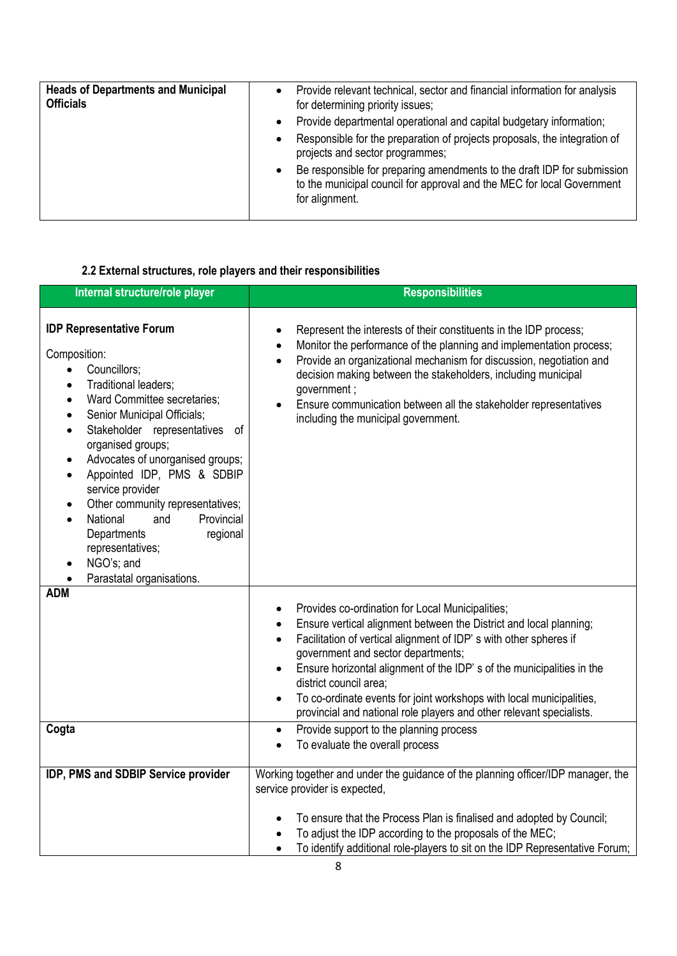| <b>Heads of Departments and Municipal</b><br><b>Officials</b> | Provide relevant technical, sector and financial information for analysis<br>for determining priority issues;                                                       |
|---------------------------------------------------------------|---------------------------------------------------------------------------------------------------------------------------------------------------------------------|
|                                                               | Provide departmental operational and capital budgetary information;                                                                                                 |
|                                                               | Responsible for the preparation of projects proposals, the integration of<br>$\bullet$<br>projects and sector programmes;                                           |
|                                                               | Be responsible for preparing amendments to the draft IDP for submission<br>to the municipal council for approval and the MEC for local Government<br>for alignment. |
|                                                               |                                                                                                                                                                     |

#### **2.2 External structures, role players and their responsibilities**

| Internal structure/role player                                                                                                                                                                                                                                                                                                                                                                                                                                                                                                                                                         | <b>Responsibilities</b>                                                                                                                                                                                                                                                                                                                                                                                                                                                                                             |  |  |
|----------------------------------------------------------------------------------------------------------------------------------------------------------------------------------------------------------------------------------------------------------------------------------------------------------------------------------------------------------------------------------------------------------------------------------------------------------------------------------------------------------------------------------------------------------------------------------------|---------------------------------------------------------------------------------------------------------------------------------------------------------------------------------------------------------------------------------------------------------------------------------------------------------------------------------------------------------------------------------------------------------------------------------------------------------------------------------------------------------------------|--|--|
| <b>IDP Representative Forum</b><br>Composition:<br>Councillors;<br>$\bullet$<br>Traditional leaders;<br>$\bullet$<br>Ward Committee secretaries;<br>$\bullet$<br>Senior Municipal Officials;<br>$\bullet$<br>Stakeholder representatives of<br>$\bullet$<br>organised groups;<br>Advocates of unorganised groups;<br>$\bullet$<br>Appointed IDP, PMS & SDBIP<br>service provider<br>Other community representatives;<br>$\bullet$<br>National<br>Provincial<br>and<br>$\bullet$<br>Departments<br>regional<br>representatives;<br>NGO's; and<br>$\bullet$<br>Parastatal organisations. | Represent the interests of their constituents in the IDP process;<br>٠<br>Monitor the performance of the planning and implementation process;<br>$\bullet$<br>Provide an organizational mechanism for discussion, negotiation and<br>$\bullet$<br>decision making between the stakeholders, including municipal<br>government;<br>Ensure communication between all the stakeholder representatives<br>including the municipal government.                                                                           |  |  |
| <b>ADM</b>                                                                                                                                                                                                                                                                                                                                                                                                                                                                                                                                                                             | Provides co-ordination for Local Municipalities;<br>٠<br>Ensure vertical alignment between the District and local planning;<br>$\bullet$<br>Facilitation of vertical alignment of IDP's with other spheres if<br>$\bullet$<br>government and sector departments;<br>Ensure horizontal alignment of the IDP's of the municipalities in the<br>district council area;<br>To co-ordinate events for joint workshops with local municipalities,<br>provincial and national role players and other relevant specialists. |  |  |
| Cogta                                                                                                                                                                                                                                                                                                                                                                                                                                                                                                                                                                                  | Provide support to the planning process<br>$\bullet$<br>To evaluate the overall process<br>$\bullet$                                                                                                                                                                                                                                                                                                                                                                                                                |  |  |
| IDP, PMS and SDBIP Service provider                                                                                                                                                                                                                                                                                                                                                                                                                                                                                                                                                    | Working together and under the guidance of the planning officer/IDP manager, the<br>service provider is expected,<br>To ensure that the Process Plan is finalised and adopted by Council;<br>To adjust the IDP according to the proposals of the MEC;<br>To identify additional role-players to sit on the IDP Representative Forum;<br>$\bullet$                                                                                                                                                                   |  |  |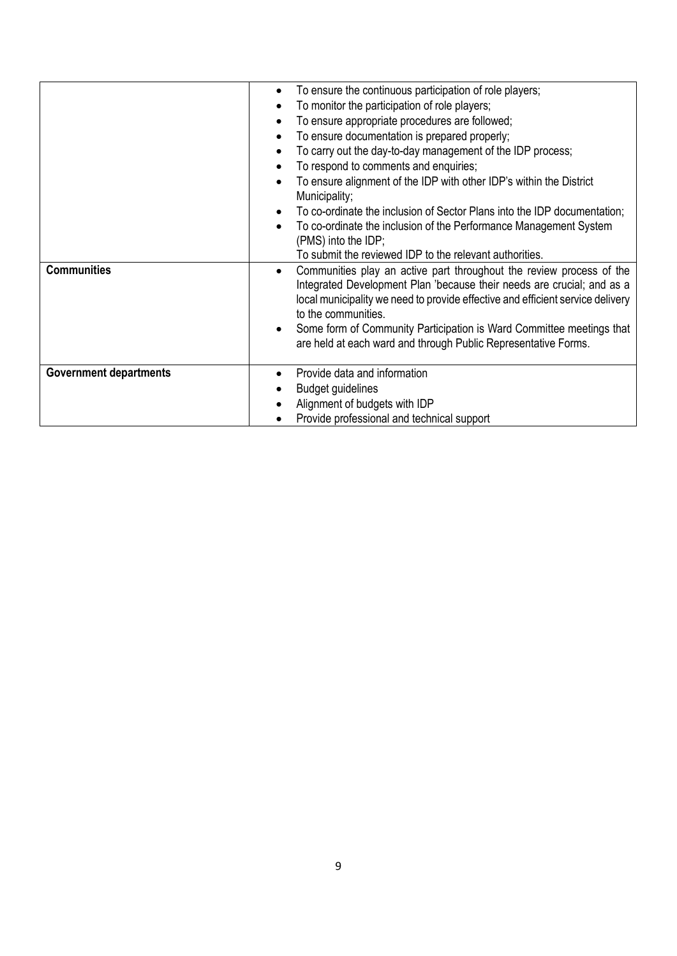|                               | To ensure the continuous participation of role players;<br>$\bullet$                                                                                                                                                                                    |  |  |  |
|-------------------------------|---------------------------------------------------------------------------------------------------------------------------------------------------------------------------------------------------------------------------------------------------------|--|--|--|
|                               | To monitor the participation of role players;                                                                                                                                                                                                           |  |  |  |
|                               | To ensure appropriate procedures are followed;                                                                                                                                                                                                          |  |  |  |
|                               | To ensure documentation is prepared properly;                                                                                                                                                                                                           |  |  |  |
|                               | To carry out the day-to-day management of the IDP process;                                                                                                                                                                                              |  |  |  |
|                               | To respond to comments and enquiries;                                                                                                                                                                                                                   |  |  |  |
|                               | To ensure alignment of the IDP with other IDP's within the District<br>Municipality;                                                                                                                                                                    |  |  |  |
|                               | To co-ordinate the inclusion of Sector Plans into the IDP documentation;                                                                                                                                                                                |  |  |  |
|                               | To co-ordinate the inclusion of the Performance Management System                                                                                                                                                                                       |  |  |  |
|                               | (PMS) into the IDP;                                                                                                                                                                                                                                     |  |  |  |
|                               | To submit the reviewed IDP to the relevant authorities.                                                                                                                                                                                                 |  |  |  |
| <b>Communities</b>            | Communities play an active part throughout the review process of the<br>Integrated Development Plan 'because their needs are crucial; and as a<br>local municipality we need to provide effective and efficient service delivery<br>to the communities. |  |  |  |
|                               | Some form of Community Participation is Ward Committee meetings that                                                                                                                                                                                    |  |  |  |
|                               | are held at each ward and through Public Representative Forms.                                                                                                                                                                                          |  |  |  |
| <b>Government departments</b> | Provide data and information                                                                                                                                                                                                                            |  |  |  |
|                               | <b>Budget guidelines</b>                                                                                                                                                                                                                                |  |  |  |
|                               | Alignment of budgets with IDP                                                                                                                                                                                                                           |  |  |  |
|                               | Provide professional and technical support                                                                                                                                                                                                              |  |  |  |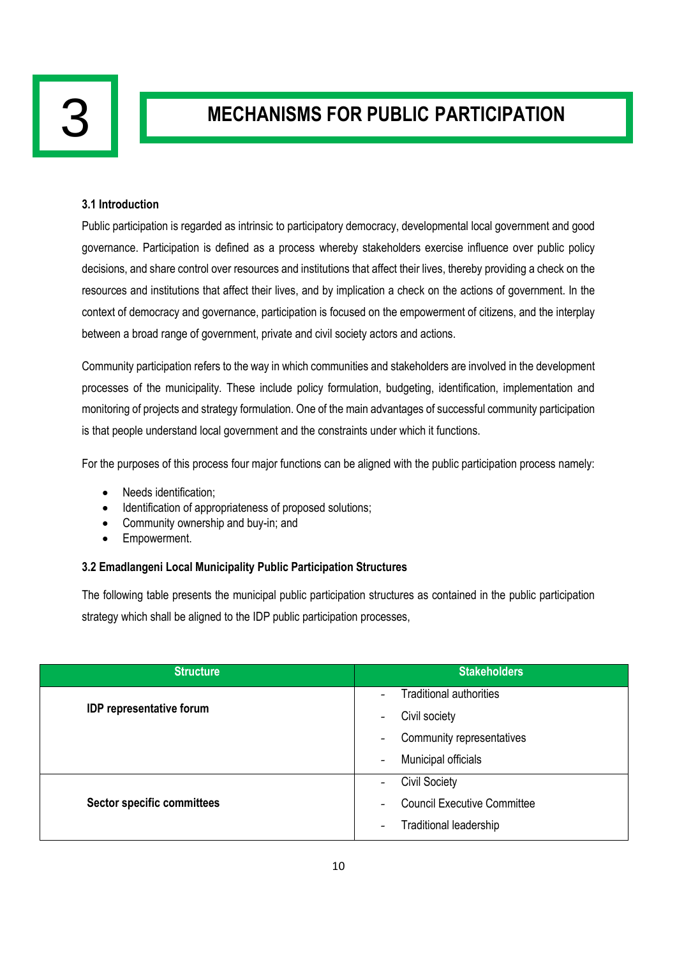

### **MECHANISMS FOR PUBLIC PARTICIPATION**

#### **3.1 Introduction**

Public participation is regarded as intrinsic to participatory democracy, developmental local government and good governance. Participation is defined as a process whereby stakeholders exercise influence over public policy decisions, and share control over resources and institutions that affect their lives, thereby providing a check on the resources and institutions that affect their lives, and by implication a check on the actions of government. In the context of democracy and governance, participation is focused on the empowerment of citizens, and the interplay between a broad range of government, private and civil society actors and actions.

Community participation refers to the way in which communities and stakeholders are involved in the development processes of the municipality. These include policy formulation, budgeting, identification, implementation and monitoring of projects and strategy formulation. One of the main advantages of successful community participation is that people understand local government and the constraints under which it functions.

For the purposes of this process four major functions can be aligned with the public participation process namely:

- Needs identification:
- Identification of appropriateness of proposed solutions:
- Community ownership and buy-in; and
- Empowerment.

#### **3.2 Emadlangeni Local Municipality Public Participation Structures**

The following table presents the municipal public participation structures as contained in the public participation strategy which shall be aligned to the IDP public participation processes,

| <b>Structure</b>                  | <b>Stakeholders</b>                                            |
|-----------------------------------|----------------------------------------------------------------|
|                                   | <b>Traditional authorities</b><br>$\overline{\phantom{a}}$     |
| <b>IDP</b> representative forum   | Civil society<br>$\qquad \qquad \blacksquare$                  |
|                                   | Community representatives<br>$\overline{\phantom{a}}$          |
|                                   | Municipal officials<br>$\overline{\phantom{a}}$                |
|                                   | <b>Civil Society</b><br>$\overline{\phantom{a}}$               |
| <b>Sector specific committees</b> | <b>Council Executive Committee</b><br>$\overline{\phantom{a}}$ |
|                                   | Traditional leadership<br>$\overline{\phantom{0}}$             |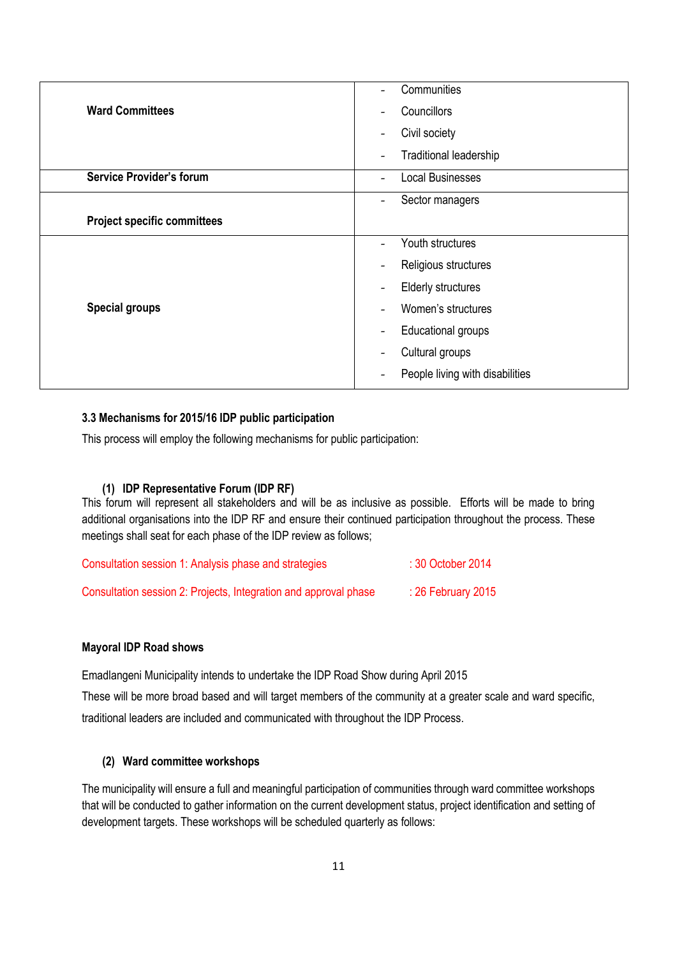|                                    | Communities                                        |
|------------------------------------|----------------------------------------------------|
| <b>Ward Committees</b>             | Councillors                                        |
|                                    | Civil society                                      |
|                                    | Traditional leadership<br>$\overline{\phantom{0}}$ |
| <b>Service Provider's forum</b>    | <b>Local Businesses</b>                            |
|                                    | Sector managers<br>۰                               |
| <b>Project specific committees</b> |                                                    |
|                                    | Youth structures                                   |
|                                    | Religious structures                               |
|                                    | <b>Elderly structures</b><br>۰                     |
| <b>Special groups</b>              | Women's structures                                 |
|                                    | <b>Educational groups</b><br>۰                     |
|                                    | Cultural groups                                    |
|                                    | People living with disabilities                    |

#### **3.3 Mechanisms for 2015/16 IDP public participation**

This process will employ the following mechanisms for public participation:

#### **(1) IDP Representative Forum (IDP RF)**

This forum will represent all stakeholders and will be as inclusive as possible. Efforts will be made to bring additional organisations into the IDP RF and ensure their continued participation throughout the process. These meetings shall seat for each phase of the IDP review as follows;

| Consultation session 1: Analysis phase and strategies            | : 30 October 2014    |
|------------------------------------------------------------------|----------------------|
| Consultation session 2: Projects, Integration and approval phase | $: 26$ February 2015 |

#### **Mayoral IDP Road shows**

Emadlangeni Municipality intends to undertake the IDP Road Show during April 2015

These will be more broad based and will target members of the community at a greater scale and ward specific, traditional leaders are included and communicated with throughout the IDP Process.

#### **(2) Ward committee workshops**

The municipality will ensure a full and meaningful participation of communities through ward committee workshops that will be conducted to gather information on the current development status, project identification and setting of development targets. These workshops will be scheduled quarterly as follows: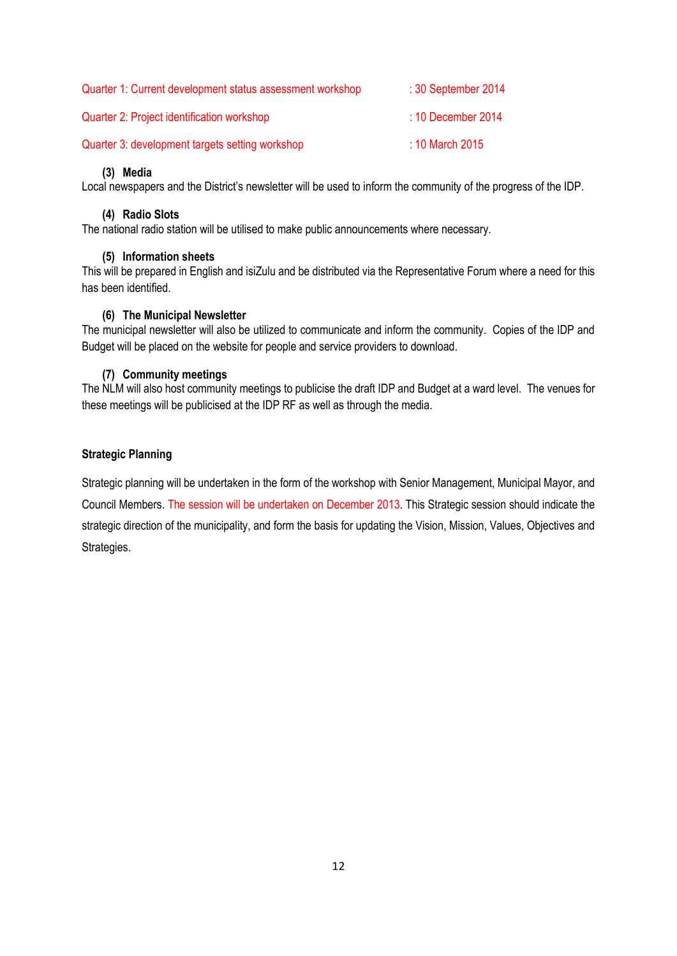| Quarter 1: Current development status assessment workshop | : 30 September 2014        |
|-----------------------------------------------------------|----------------------------|
| Quarter 2: Project identification workshop                | : 10 December 2014         |
| Quarter 3: development targets setting workshop           | $\therefore$ 10 March 2015 |

#### **(3) Media**

Local newspapers and the District's newsletter will be used to inform the community of the progress of the IDP.

#### **(4) Radio Slots**

The national radio station will be utilised to make public announcements where necessary.

#### **(5) Information sheets**

This will be prepared in English and isiZulu and be distributed via the Representative Forum where a need for this has been identified.

#### **(6) The Municipal Newsletter**

The municipal newsletter will also be utilized to communicate and inform the community. Copies of the IDP and Budget will be placed on the website for people and service providers to download.

#### **(7) Community meetings**

The NLM will also host community meetings to publicise the draft IDP and Budget at a ward level. The venues for these meetings will be publicised at the IDP RF as well as through the media.

#### **Strategic Planning**

Strategic planning will be undertaken in the form of the workshop with Senior Management, Municipal Mayor, and Council Members. The session will be undertaken on December 2013. This Strategic session should indicate the strategic direction of the municipality, and form the basis for updating the Vision, Mission, Values, Objectives and Strategies.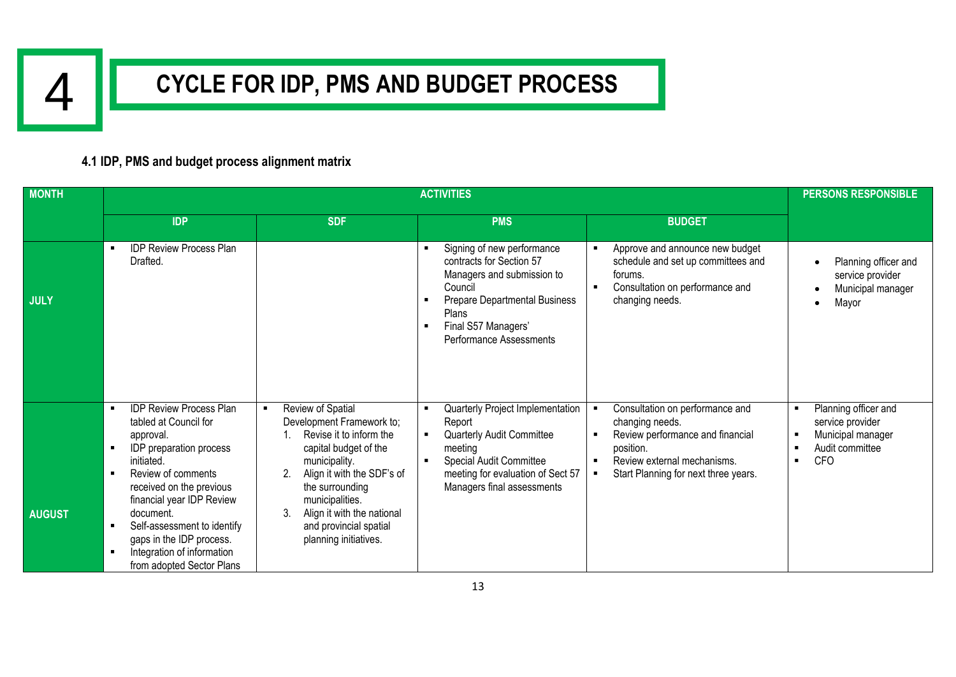4

### **CYCLE FOR IDP, PMS AND BUDGET PROCESS**

**MANAGEMENT**

#### **4.1 IDP, PMS and budget process alignment matrix**

| <b>MONTH</b>  | <b>ACTIVITIES</b>                                                                                                                                                                                                                                                                                                                                                        |                                                                                                                                                                                                                                                                                |                                                                                                                                                                                             |                                                                                                                                                                            | <b>PERSONS RESPONSIBLE</b>                                                                                  |
|---------------|--------------------------------------------------------------------------------------------------------------------------------------------------------------------------------------------------------------------------------------------------------------------------------------------------------------------------------------------------------------------------|--------------------------------------------------------------------------------------------------------------------------------------------------------------------------------------------------------------------------------------------------------------------------------|---------------------------------------------------------------------------------------------------------------------------------------------------------------------------------------------|----------------------------------------------------------------------------------------------------------------------------------------------------------------------------|-------------------------------------------------------------------------------------------------------------|
|               | <b>IDP</b>                                                                                                                                                                                                                                                                                                                                                               | <b>SDF</b>                                                                                                                                                                                                                                                                     | <b>PMS</b>                                                                                                                                                                                  | <b>BUDGET</b>                                                                                                                                                              |                                                                                                             |
| <b>JULY</b>   | <b>IDP Review Process Plan</b><br>$\blacksquare$<br>Drafted.                                                                                                                                                                                                                                                                                                             |                                                                                                                                                                                                                                                                                | Signing of new performance<br>contracts for Section 57<br>Managers and submission to<br>Council<br>Prepare Departmental Business<br>Plans<br>Final S57 Managers'<br>Performance Assessments | Approve and announce new budget<br>schedule and set up committees and<br>forums.<br>Consultation on performance and<br>changing needs.                                     | Planning officer and<br>service provider<br>Municipal manager<br>Mayor                                      |
| <b>AUGUST</b> | <b>IDP Review Process Plan</b><br>$\blacksquare$<br>tabled at Council for<br>approval.<br>IDP preparation process<br>initiated.<br>Review of comments<br>$\blacksquare$<br>received on the previous<br>financial year IDP Review<br>document.<br>Self-assessment to identify<br>٠<br>gaps in the IDP process.<br>Integration of information<br>from adopted Sector Plans | Review of Spatial<br>Development Framework to;<br>Revise it to inform the<br>capital budget of the<br>municipality.<br>Align it with the SDF's of<br>the surrounding<br>municipalities.<br>3.<br>Align it with the national<br>and provincial spatial<br>planning initiatives. | Quarterly Project Implementation<br>Report<br>Quarterly Audit Committee<br>meeting<br>Special Audit Committee<br>meeting for evaluation of Sect 57<br>Managers final assessments            | Consultation on performance and<br>changing needs.<br>Review performance and financial<br>position.<br>Review external mechanisms.<br>Start Planning for next three years. | Planning officer and<br>п<br>service provider<br>Municipal manager<br>п<br>Audit committee<br>л<br>CFO<br>п |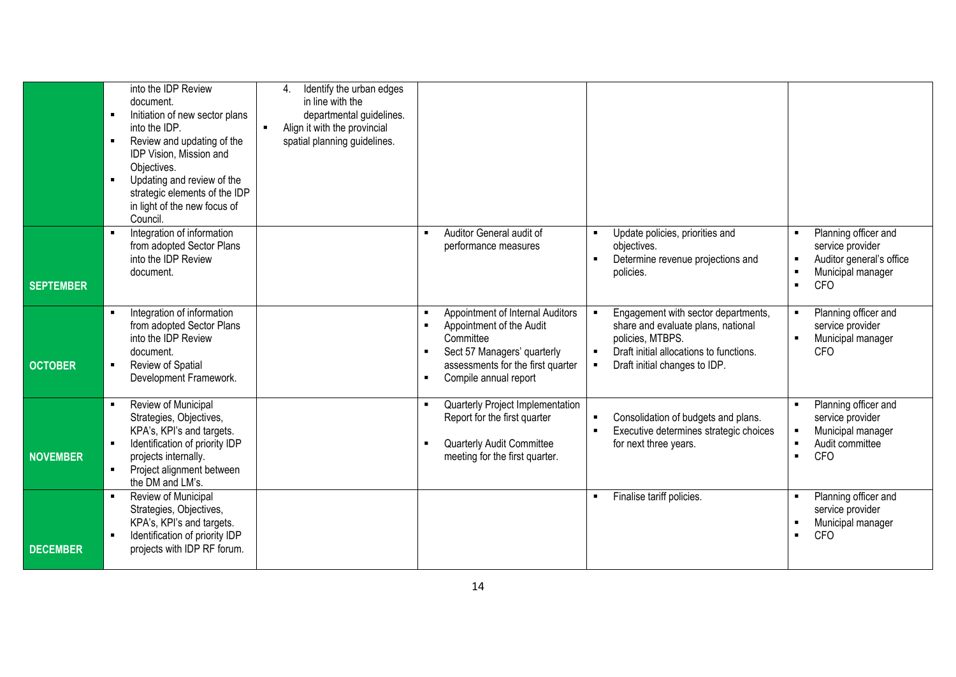|                  | into the IDP Review<br>document.<br>Initiation of new sector plans<br>into the IDP.<br>Review and updating of the<br>$\blacksquare$<br>IDP Vision, Mission and<br>Objectives.<br>Updating and review of the<br>strategic elements of the IDP<br>in light of the new focus of<br>Council. | Identify the urban edges<br>4.<br>in line with the<br>departmental guidelines.<br>Align it with the provincial<br>spatial planning guidelines. |                                                                                                                                                                        |                                                                                                                                                                                             |                                                                                                                                    |
|------------------|------------------------------------------------------------------------------------------------------------------------------------------------------------------------------------------------------------------------------------------------------------------------------------------|------------------------------------------------------------------------------------------------------------------------------------------------|------------------------------------------------------------------------------------------------------------------------------------------------------------------------|---------------------------------------------------------------------------------------------------------------------------------------------------------------------------------------------|------------------------------------------------------------------------------------------------------------------------------------|
| <b>SEPTEMBER</b> | Integration of information<br>$\blacksquare$<br>from adopted Sector Plans<br>into the IDP Review<br>document.                                                                                                                                                                            |                                                                                                                                                | Auditor General audit of<br>performance measures                                                                                                                       | Update policies, priorities and<br>objectives.<br>Determine revenue projections and<br>$\blacksquare$<br>policies.                                                                          | Planning officer and<br>service provider<br>Auditor general's office<br>Municipal manager<br><b>CFO</b><br>$\blacksquare$          |
| <b>OCTOBER</b>   | Integration of information<br>from adopted Sector Plans<br>into the IDP Review<br>document.<br>Review of Spatial<br>Development Framework.                                                                                                                                               |                                                                                                                                                | Appointment of Internal Auditors<br>Appointment of the Audit<br>Committee<br>Sect 57 Managers' quarterly<br>assessments for the first quarter<br>Compile annual report | Engagement with sector departments,<br>share and evaluate plans, national<br>policies, MTBPS.<br>Draft initial allocations to functions.<br>$\blacksquare$<br>Draft initial changes to IDP. | Planning officer and<br>service provider<br>Municipal manager<br><b>CFO</b>                                                        |
| <b>NOVEMBER</b>  | Review of Municipal<br>Strategies, Objectives,<br>KPA's, KPI's and targets.<br>Identification of priority IDP<br>projects internally.<br>Project alignment between<br>the DM and LM's.                                                                                                   |                                                                                                                                                | Quarterly Project Implementation<br>Report for the first quarter<br><b>Quarterly Audit Committee</b><br>meeting for the first quarter.                                 | Consolidation of budgets and plans.<br>Executive determines strategic choices<br>$\blacksquare$<br>for next three years.                                                                    | Planning officer and<br>service provider<br>Municipal manager<br>Audit committee<br>$\blacksquare$<br><b>CFO</b><br>$\blacksquare$ |
| <b>DECEMBER</b>  | Review of Municipal<br>Strategies, Objectives,<br>KPA's, KPI's and targets.<br>Identification of priority IDP<br>projects with IDP RF forum.                                                                                                                                             |                                                                                                                                                |                                                                                                                                                                        | Finalise tariff policies.                                                                                                                                                                   | Planning officer and<br>service provider<br>Municipal manager<br><b>CFO</b><br>$\blacksquare$                                      |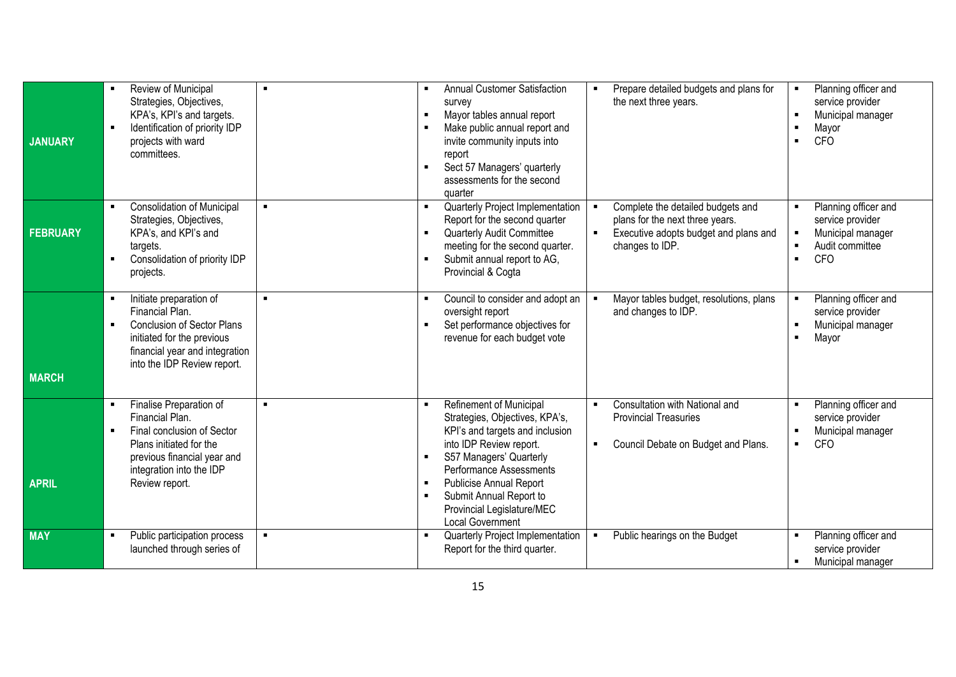| <b>JANUARY</b>  | Review of Municipal<br>$\blacksquare$<br>Strategies, Objectives,<br>KPA's, KPI's and targets.<br>Identification of priority IDP<br>$\blacksquare$<br>projects with ward<br>committees.             | $\blacksquare$ | Annual Customer Satisfaction<br>survey<br>Mayor tables annual report<br>Make public annual report and<br>invite community inputs into<br>report<br>Sect 57 Managers' quarterly<br>assessments for the second<br>quarter                                                                      | Prepare detailed budgets and plans for<br>the next three years.                                                                  | Planning officer and<br>$\blacksquare$<br>service provider<br>Municipal manager<br>$\blacksquare$<br>Mayor<br><b>CFO</b> |
|-----------------|----------------------------------------------------------------------------------------------------------------------------------------------------------------------------------------------------|----------------|----------------------------------------------------------------------------------------------------------------------------------------------------------------------------------------------------------------------------------------------------------------------------------------------|----------------------------------------------------------------------------------------------------------------------------------|--------------------------------------------------------------------------------------------------------------------------|
| <b>FEBRUARY</b> | <b>Consolidation of Municipal</b><br>Strategies, Objectives,<br>KPA's, and KPI's and<br>targets.<br>Consolidation of priority IDP<br>$\blacksquare$<br>projects.                                   | $\blacksquare$ | Quarterly Project Implementation<br>Report for the second quarter<br><b>Quarterly Audit Committee</b><br>meeting for the second quarter.<br>Submit annual report to AG,<br>Provincial & Cogta                                                                                                | Complete the detailed budgets and<br>plans for the next three years.<br>Executive adopts budget and plans and<br>changes to IDP. | Planning officer and<br>service provider<br>Municipal manager<br>Audit committee<br><b>CFO</b>                           |
| <b>MARCH</b>    | Initiate preparation of<br>Financial Plan.<br><b>Conclusion of Sector Plans</b><br>$\blacksquare$<br>initiated for the previous<br>financial year and integration<br>into the IDP Review report.   |                | Council to consider and adopt an<br>oversight report<br>Set performance objectives for<br>revenue for each budget vote                                                                                                                                                                       | Mayor tables budget, resolutions, plans<br>and changes to IDP.                                                                   | Planning officer and<br>service provider<br>Municipal manager<br>$\blacksquare$<br>Mayor                                 |
| <b>APRIL</b>    | Finalise Preparation of<br>$\blacksquare$<br>Financial Plan.<br>Final conclusion of Sector<br>Plans initiated for the<br>previous financial year and<br>integration into the IDP<br>Review report. | $\blacksquare$ | Refinement of Municipal<br>Strategies, Objectives, KPA's,<br>KPI's and targets and inclusion<br>into IDP Review report.<br>S57 Managers' Quarterly<br>Performance Assessments<br>Publicise Annual Report<br>Submit Annual Report to<br>Provincial Legislature/MEC<br><b>Local Government</b> | Consultation with National and<br><b>Provincial Treasuries</b><br>Council Debate on Budget and Plans.                            | Planning officer and<br>service provider<br>Municipal manager<br><b>CFO</b><br>$\blacksquare$                            |
| <b>MAY</b>      | Public participation process<br>launched through series of                                                                                                                                         |                | Quarterly Project Implementation<br>Report for the third quarter.                                                                                                                                                                                                                            | Public hearings on the Budget                                                                                                    | Planning officer and<br>service provider<br>Municipal manager                                                            |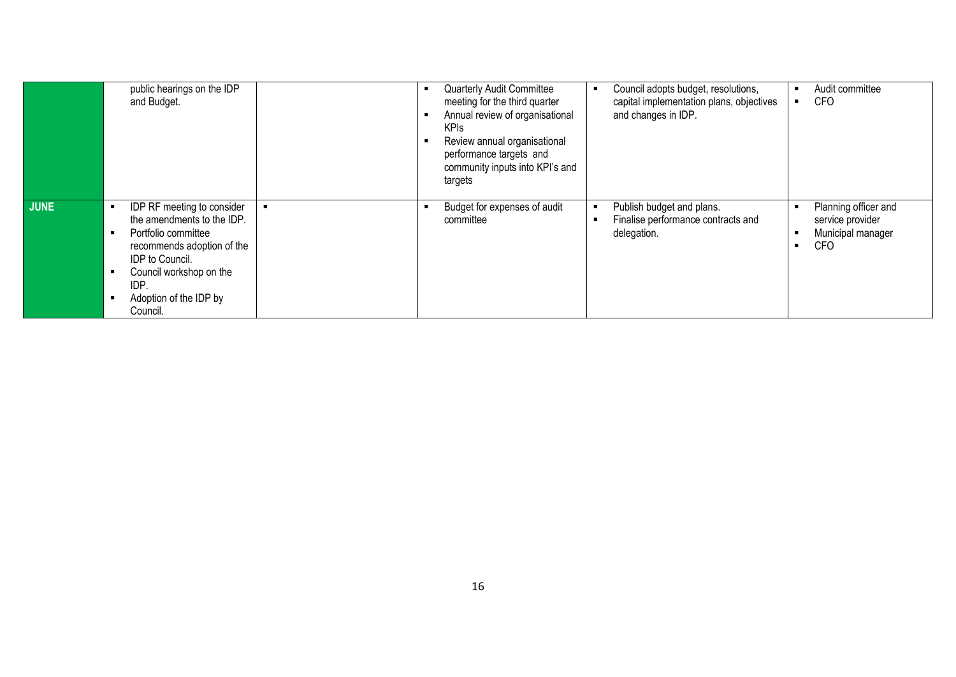|             | public hearings on the IDP<br>and Budget.                                                                                                                                                                 | Quarterly Audit Committee<br>meeting for the third quarter<br>Annual review of organisational<br><b>KPIs</b><br>Review annual organisational<br>performance targets and<br>community inputs into KPI's and<br>targets | Council adopts budget, resolutions,<br>capital implementation plans, objectives<br>and changes in IDP. | Audit committee<br><b>CFO</b>                                        |
|-------------|-----------------------------------------------------------------------------------------------------------------------------------------------------------------------------------------------------------|-----------------------------------------------------------------------------------------------------------------------------------------------------------------------------------------------------------------------|--------------------------------------------------------------------------------------------------------|----------------------------------------------------------------------|
| <b>JUNE</b> | IDP RF meeting to consider<br>the amendments to the IDP.<br>Portfolio committee<br>recommends adoption of the<br>IDP to Council.<br>Council workshop on the<br>IDP.<br>Adoption of the IDP by<br>Council. | Budget for expenses of audit<br>committee                                                                                                                                                                             | Publish budget and plans.<br>Finalise performance contracts and<br>delegation.                         | Planning officer and<br>service provider<br>Municipal manager<br>CFO |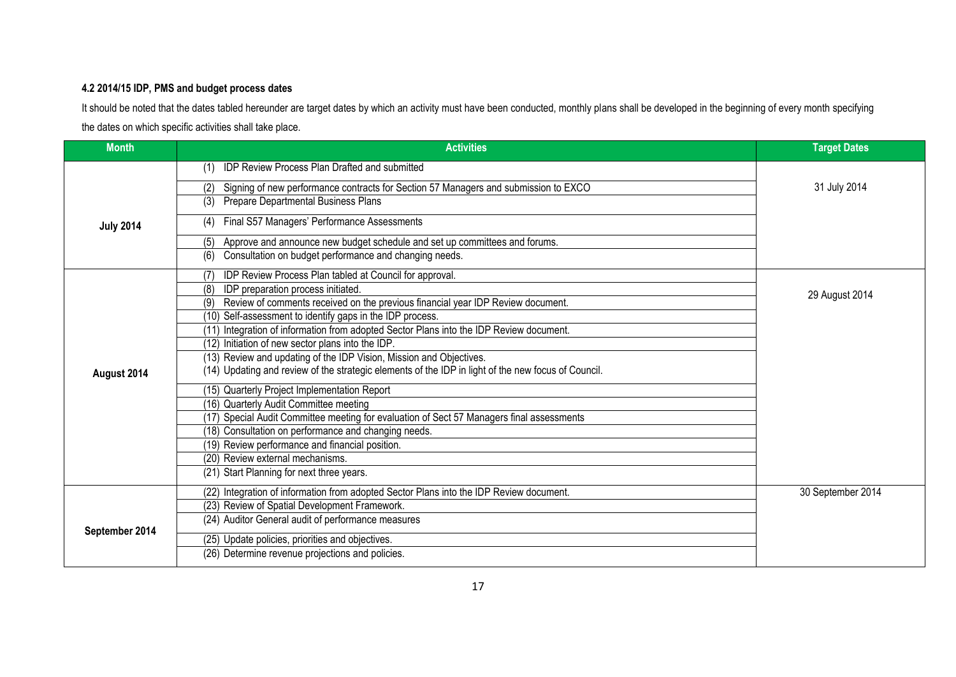#### **4.2 2014/15 IDP, PMS and budget process dates**

It should be noted that the dates tabled hereunder are target dates by which an activity must have been conducted, monthly plans shall be developed in the beginning of every month specifying the dates on which specific activities shall take place.

| <b>Month</b>     | <b>Activities</b>                                                                                   | <b>Target Dates</b> |
|------------------|-----------------------------------------------------------------------------------------------------|---------------------|
|                  | IDP Review Process Plan Drafted and submitted<br>(1)                                                |                     |
|                  | Signing of new performance contracts for Section 57 Managers and submission to EXCO<br>(2)          | 31 July 2014        |
|                  | <b>Prepare Departmental Business Plans</b><br>(3)                                                   |                     |
| <b>July 2014</b> | Final S57 Managers' Performance Assessments<br>(4)                                                  |                     |
|                  | Approve and announce new budget schedule and set up committees and forums.<br>(5)                   |                     |
|                  | (6)<br>Consultation on budget performance and changing needs.                                       |                     |
|                  | IDP Review Process Plan tabled at Council for approval.                                             |                     |
|                  | (8)<br>IDP preparation process initiated.                                                           | 29 August 2014      |
|                  | Review of comments received on the previous financial year IDP Review document.                     |                     |
|                  | (10) Self-assessment to identify gaps in the IDP process.                                           |                     |
|                  | (11) Integration of information from adopted Sector Plans into the IDP Review document.             |                     |
|                  | (12) Initiation of new sector plans into the IDP.                                                   |                     |
|                  | (13) Review and updating of the IDP Vision, Mission and Objectives.                                 |                     |
| August 2014      | (14) Updating and review of the strategic elements of the IDP in light of the new focus of Council. |                     |
|                  | (15) Quarterly Project Implementation Report                                                        |                     |
|                  | (16) Quarterly Audit Committee meeting                                                              |                     |
|                  | (17) Special Audit Committee meeting for evaluation of Sect 57 Managers final assessments           |                     |
|                  | (18) Consultation on performance and changing needs.                                                |                     |
|                  | (19) Review performance and financial position.                                                     |                     |
|                  | (20) Review external mechanisms.                                                                    |                     |
|                  | (21) Start Planning for next three years.                                                           |                     |
|                  | (22) Integration of information from adopted Sector Plans into the IDP Review document.             | 30 September 2014   |
|                  | (23) Review of Spatial Development Framework.                                                       |                     |
|                  | (24) Auditor General audit of performance measures                                                  |                     |
| September 2014   | (25) Update policies, priorities and objectives.                                                    |                     |
|                  | (26) Determine revenue projections and policies.                                                    |                     |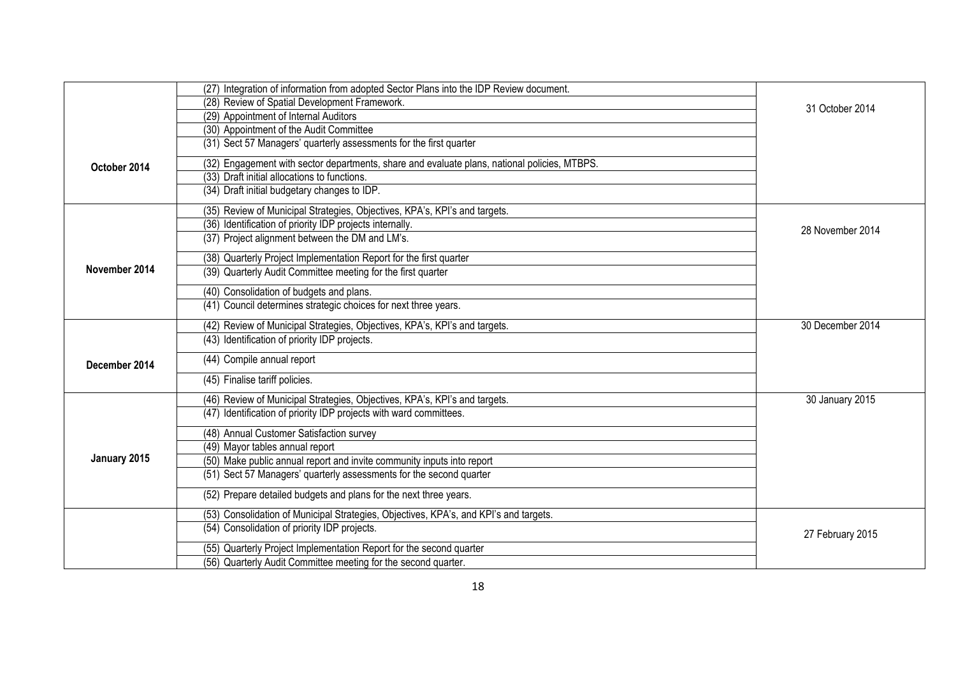|               | (27) Integration of information from adopted Sector Plans into the IDP Review document.      |                  |
|---------------|----------------------------------------------------------------------------------------------|------------------|
|               | (28) Review of Spatial Development Framework.                                                | 31 October 2014  |
|               | (29) Appointment of Internal Auditors                                                        |                  |
|               | (30) Appointment of the Audit Committee                                                      |                  |
|               | (31) Sect 57 Managers' quarterly assessments for the first quarter                           |                  |
| October 2014  | (32) Engagement with sector departments, share and evaluate plans, national policies, MTBPS. |                  |
|               | (33) Draft initial allocations to functions.                                                 |                  |
|               | (34) Draft initial budgetary changes to IDP.                                                 |                  |
|               | (35) Review of Municipal Strategies, Objectives, KPA's, KPI's and targets.                   |                  |
|               | (36) Identification of priority IDP projects internally.                                     | 28 November 2014 |
|               | (37) Project alignment between the DM and LM's.                                              |                  |
|               | (38) Quarterly Project Implementation Report for the first quarter                           |                  |
| November 2014 | (39) Quarterly Audit Committee meeting for the first quarter                                 |                  |
|               | (40) Consolidation of budgets and plans.                                                     |                  |
|               | (41) Council determines strategic choices for next three years.                              |                  |
|               | (42) Review of Municipal Strategies, Objectives, KPA's, KPI's and targets.                   | 30 December 2014 |
|               | (43) Identification of priority IDP projects.                                                |                  |
| December 2014 | (44) Compile annual report                                                                   |                  |
|               | (45) Finalise tariff policies.                                                               |                  |
|               | (46) Review of Municipal Strategies, Objectives, KPA's, KPI's and targets.                   | 30 January 2015  |
|               | (47) Identification of priority IDP projects with ward committees.                           |                  |
|               | (48) Annual Customer Satisfaction survey                                                     |                  |
|               | (49) Mayor tables annual report                                                              |                  |
| January 2015  | (50) Make public annual report and invite community inputs into report                       |                  |
|               | (51) Sect 57 Managers' quarterly assessments for the second quarter                          |                  |
|               | (52) Prepare detailed budgets and plans for the next three years.                            |                  |
|               | (53) Consolidation of Municipal Strategies, Objectives, KPA's, and KPI's and targets.        |                  |
|               | (54) Consolidation of priority IDP projects.                                                 | 27 February 2015 |
|               | (55) Quarterly Project Implementation Report for the second quarter                          |                  |
|               | (56) Quarterly Audit Committee meeting for the second quarter.                               |                  |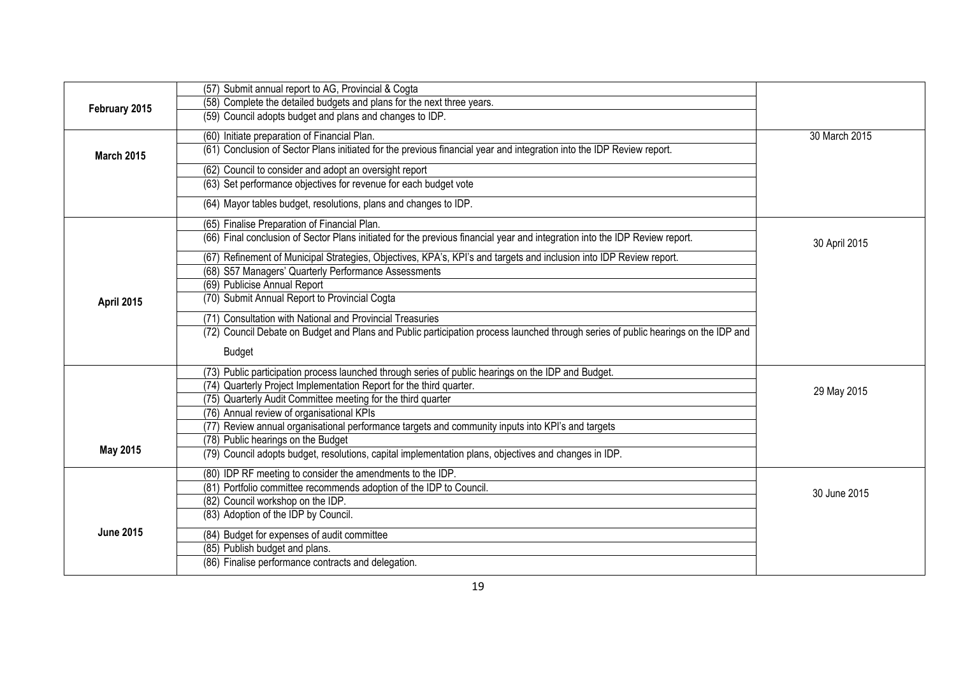|                   | (57) Submit annual report to AG, Provincial & Cogta                                                                                |               |
|-------------------|------------------------------------------------------------------------------------------------------------------------------------|---------------|
| February 2015     | (58) Complete the detailed budgets and plans for the next three years.                                                             |               |
|                   | (59) Council adopts budget and plans and changes to IDP.                                                                           |               |
|                   | (60) Initiate preparation of Financial Plan.                                                                                       | 30 March 2015 |
| <b>March 2015</b> | (61) Conclusion of Sector Plans initiated for the previous financial year and integration into the IDP Review report.              |               |
|                   | (62) Council to consider and adopt an oversight report                                                                             |               |
|                   | (63) Set performance objectives for revenue for each budget vote                                                                   |               |
|                   | (64) Mayor tables budget, resolutions, plans and changes to IDP.                                                                   |               |
|                   | (65) Finalise Preparation of Financial Plan.                                                                                       |               |
|                   | (66) Final conclusion of Sector Plans initiated for the previous financial year and integration into the IDP Review report.        | 30 April 2015 |
|                   | (67) Refinement of Municipal Strategies, Objectives, KPA's, KPI's and targets and inclusion into IDP Review report.                |               |
|                   | (68) S57 Managers' Quarterly Performance Assessments                                                                               |               |
|                   | (69) Publicise Annual Report                                                                                                       |               |
| April 2015        | (70) Submit Annual Report to Provincial Cogta                                                                                      |               |
|                   | (71) Consultation with National and Provincial Treasuries                                                                          |               |
|                   | (72) Council Debate on Budget and Plans and Public participation process launched through series of public hearings on the IDP and |               |
|                   | <b>Budget</b>                                                                                                                      |               |
|                   | (73) Public participation process launched through series of public hearings on the IDP and Budget.                                |               |
|                   | (74) Quarterly Project Implementation Report for the third quarter.                                                                | 29 May 2015   |
|                   | (75) Quarterly Audit Committee meeting for the third quarter<br>(76) Annual review of organisational KPIs                          |               |
|                   | (77) Review annual organisational performance targets and community inputs into KPI's and targets                                  |               |
|                   | (78) Public hearings on the Budget                                                                                                 |               |
| May 2015          | (79) Council adopts budget, resolutions, capital implementation plans, objectives and changes in IDP.                              |               |
|                   | (80) IDP RF meeting to consider the amendments to the IDP.                                                                         |               |
|                   | (81) Portfolio committee recommends adoption of the IDP to Council.                                                                | 30 June 2015  |
|                   | (82) Council workshop on the IDP.                                                                                                  |               |
|                   | (83) Adoption of the IDP by Council.                                                                                               |               |
| <b>June 2015</b>  | (84) Budget for expenses of audit committee                                                                                        |               |
|                   | (85) Publish budget and plans.                                                                                                     |               |
|                   | (86) Finalise performance contracts and delegation.                                                                                |               |